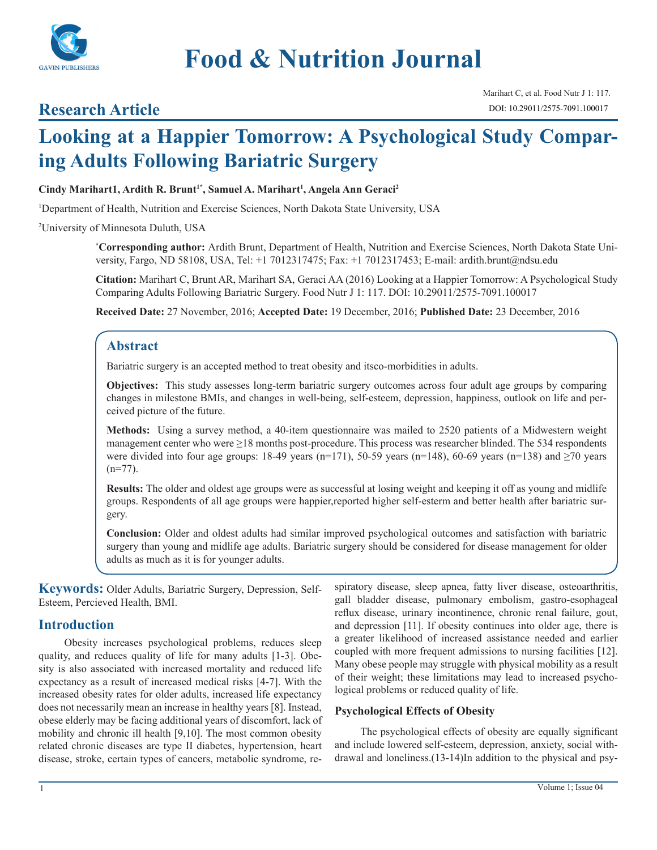

# **Food & Nutrition Journal**

## **Research Article**

Marihart C, et al. Food Nutr J 1: 117. DOI: 10.29011/2575-7091.100017

## **Looking at a Happier Tomorrow: A Psychological Study Comparing Adults Following Bariatric Surgery**

#### Cindy Marihart1, Ardith R. Brunt<sup>1\*</sup>, Samuel A. Marihart<sup>1</sup>, Angela Ann Geraci<sup>2</sup>

1 Department of Health, Nutrition and Exercise Sciences, North Dakota State University, USA

2 University of Minnesota Duluth, USA

**\* Corresponding author:** Ardith Brunt, Department of Health, Nutrition and Exercise Sciences, North Dakota State University, Fargo, ND 58108, USA, Tel: +1 7012317475; Fax: +1 7012317453; E-mail: ardith.brunt@ndsu.edu

**Citation:** Marihart C, Brunt AR, Marihart SA, Geraci AA (2016) Looking at a Happier Tomorrow: A Psychological Study Comparing Adults Following Bariatric Surgery. Food Nutr J 1: 117. DOI: 10.29011/2575-7091.100017

**Received Date:** 27 November, 2016; **Accepted Date:** 19 December, 2016; **Published Date:** 23 December, 2016

## **Abstract**

Bariatric surgery is an accepted method to treat obesity and itsco-morbidities in adults.

**Objectives:** This study assesses long-term bariatric surgery outcomes across four adult age groups by comparing changes in milestone BMIs, and changes in well-being, self-esteem, depression, happiness, outlook on life and perceived picture of the future.

**Methods:** Using a survey method, a 40-item questionnaire was mailed to 2520 patients of a Midwestern weight management center who were ≥18 months post-procedure. This process was researcher blinded. The 534 respondents were divided into four age groups: 18-49 years (n=171), 50-59 years (n=148), 60-69 years (n=138) and  $\geq$ 70 years  $(n=77)$ .

**Results:** The older and oldest age groups were as successful at losing weight and keeping it off as young and midlife groups. Respondents of all age groups were happier,reported higher self-esterm and better health after bariatric surgery.

**Conclusion:** Older and oldest adults had similar improved psychological outcomes and satisfaction with bariatric surgery than young and midlife age adults. Bariatric surgery should be considered for disease management for older adults as much as it is for younger adults.

**Keywords:** Older Adults, Bariatric Surgery, Depression, Self-Esteem, Percieved Health, BMI.

## **Introduction**

Obesity increases psychological problems, reduces sleep quality, and reduces quality of life for many adults [1-3]. Obesity is also associated with increased mortality and reduced life expectancy as a result of increased medical risks [4-7]. With the increased obesity rates for older adults, increased life expectancy does not necessarily mean an increase in healthy years [8]. Instead, obese elderly may be facing additional years of discomfort, lack of mobility and chronic ill health [9,10]. The most common obesity related chronic diseases are type II diabetes, hypertension, heart disease, stroke, certain types of cancers, metabolic syndrome, respiratory disease, sleep apnea, fatty liver disease, osteoarthritis, gall bladder disease, pulmonary embolism, gastro-esophageal reflux disease, urinary incontinence, chronic renal failure, gout, and depression [11]. If obesity continues into older age, there is a greater likelihood of increased assistance needed and earlier coupled with more frequent admissions to nursing facilities [12]. Many obese people may struggle with physical mobility as a result of their weight; these limitations may lead to increased psychological problems or reduced quality of life.

## **Psychological Effects of Obesity**

The psychological effects of obesity are equally significant and include lowered self-esteem, depression, anxiety, social withdrawal and loneliness.(13-14)In addition to the physical and psy-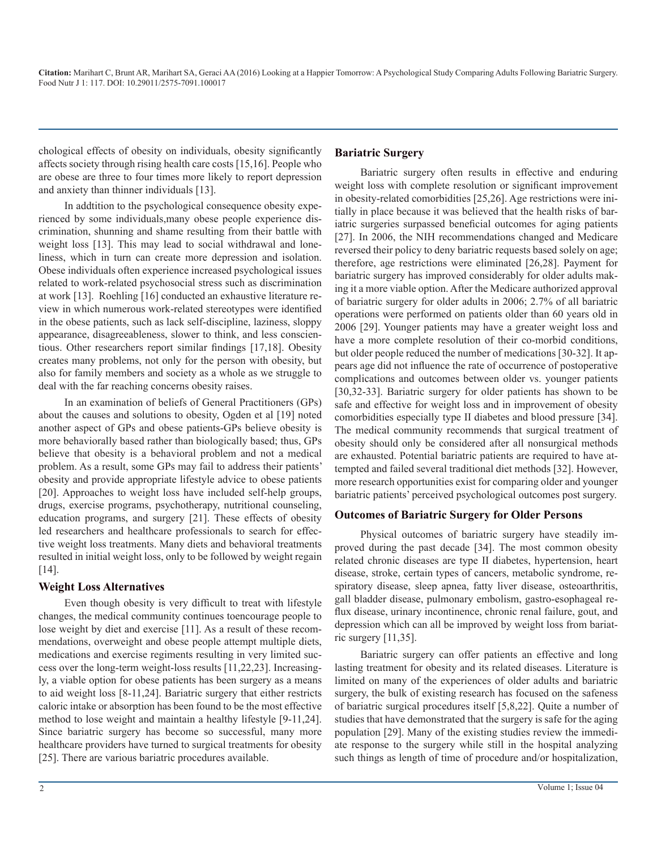chological effects of obesity on individuals, obesity significantly affects society through rising health care costs [15,16]. People who are obese are three to four times more likely to report depression and anxiety than thinner individuals [13].

In addtition to the psychological consequence obesity experienced by some individuals,many obese people experience discrimination, shunning and shame resulting from their battle with weight loss [13]. This may lead to social withdrawal and loneliness, which in turn can create more depression and isolation. Obese individuals often experience increased psychological issues related to work-related psychosocial stress such as discrimination at work [13]. Roehling [16] conducted an exhaustive literature review in which numerous work-related stereotypes were identified in the obese patients, such as lack self-discipline, laziness, sloppy appearance, disagreeableness, slower to think, and less conscientious. Other researchers report similar findings [17,18]. Obesity creates many problems, not only for the person with obesity, but also for family members and society as a whole as we struggle to deal with the far reaching concerns obesity raises.

In an examination of beliefs of General Practitioners (GPs) about the causes and solutions to obesity, Ogden et al [19] noted another aspect of GPs and obese patients-GPs believe obesity is more behaviorally based rather than biologically based; thus, GPs believe that obesity is a behavioral problem and not a medical problem. As a result, some GPs may fail to address their patients' obesity and provide appropriate lifestyle advice to obese patients [20]. Approaches to weight loss have included self-help groups, drugs, exercise programs, psychotherapy, nutritional counseling, education programs, and surgery [21]. These effects of obesity led researchers and healthcare professionals to search for effective weight loss treatments. Many diets and behavioral treatments resulted in initial weight loss, only to be followed by weight regain [14].

## **Weight Loss Alternatives**

Even though obesity is very difficult to treat with lifestyle changes, the medical community continues toencourage people to lose weight by diet and exercise [11]. As a result of these recommendations, overweight and obese people attempt multiple diets, medications and exercise regiments resulting in very limited success over the long-term weight-loss results [11,22,23]. Increasingly, a viable option for obese patients has been surgery as a means to aid weight loss [8-11,24]. Bariatric surgery that either restricts caloric intake or absorption has been found to be the most effective method to lose weight and maintain a healthy lifestyle [9-11,24]. Since bariatric surgery has become so successful, many more healthcare providers have turned to surgical treatments for obesity [25]. There are various bariatric procedures available.

#### **Bariatric Surgery**

Bariatric surgery often results in effective and enduring weight loss with complete resolution or significant improvement in obesity-related comorbidities [25,26]. Age restrictions were initially in place because it was believed that the health risks of bariatric surgeries surpassed beneficial outcomes for aging patients [27]. In 2006, the NIH recommendations changed and Medicare reversed their policy to deny bariatric requests based solely on age; therefore, age restrictions were eliminated [26,28]. Payment for bariatric surgery has improved considerably for older adults making it a more viable option. After the Medicare authorized approval of bariatric surgery for older adults in 2006; 2.7% of all bariatric operations were performed on patients older than 60 years old in 2006 [29]. Younger patients may have a greater weight loss and have a more complete resolution of their co-morbid conditions, but older people reduced the number of medications [30-32]. It appears age did not influence the rate of occurrence of postoperative complications and outcomes between older vs. younger patients [30,32-33]. Bariatric surgery for older patients has shown to be safe and effective for weight loss and in improvement of obesity comorbidities especially type II diabetes and blood pressure [34]. The medical community recommends that surgical treatment of obesity should only be considered after all nonsurgical methods are exhausted. Potential bariatric patients are required to have attempted and failed several traditional diet methods [32]. However, more research opportunities exist for comparing older and younger bariatric patients' perceived psychological outcomes post surgery.

#### **Outcomes of Bariatric Surgery for Older Persons**

Physical outcomes of bariatric surgery have steadily improved during the past decade [34]. The most common obesity related chronic diseases are type II diabetes, hypertension, heart disease, stroke, certain types of cancers, metabolic syndrome, respiratory disease, sleep apnea, fatty liver disease, osteoarthritis, gall bladder disease, pulmonary embolism, gastro-esophageal reflux disease, urinary incontinence, chronic renal failure, gout, and depression which can all be improved by weight loss from bariatric surgery [11,35].

Bariatric surgery can offer patients an effective and long lasting treatment for obesity and its related diseases. Literature is limited on many of the experiences of older adults and bariatric surgery, the bulk of existing research has focused on the safeness of bariatric surgical procedures itself [5,8,22]. Quite a number of studies that have demonstrated that the surgery is safe for the aging population [29]. Many of the existing studies review the immediate response to the surgery while still in the hospital analyzing such things as length of time of procedure and/or hospitalization,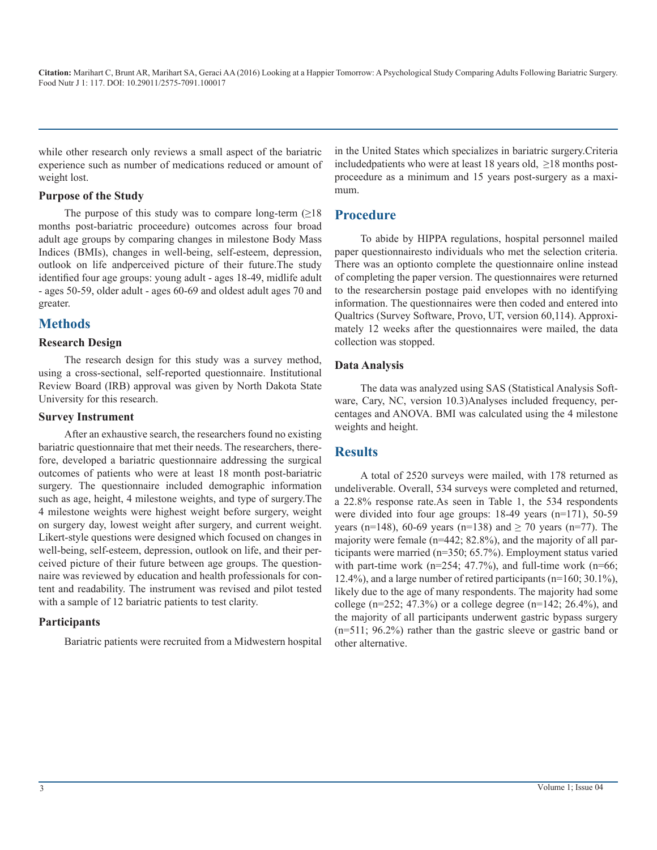while other research only reviews a small aspect of the bariatric experience such as number of medications reduced or amount of weight lost.

#### **Purpose of the Study**

The purpose of this study was to compare long-term  $(\geq 18)$ months post-bariatric proceedure) outcomes across four broad adult age groups by comparing changes in milestone Body Mass Indices (BMIs), changes in well-being, self-esteem, depression, outlook on life andperceived picture of their future.The study identified four age groups: young adult - ages 18-49, midlife adult - ages 50-59, older adult - ages 60-69 and oldest adult ages 70 and greater.

## **Methods**

#### **Research Design**

The research design for this study was a survey method, using a cross-sectional, self-reported questionnaire. Institutional Review Board (IRB) approval was given by North Dakota State University for this research.

#### **Survey Instrument**

After an exhaustive search, the researchers found no existing bariatric questionnaire that met their needs. The researchers, therefore, developed a bariatric questionnaire addressing the surgical outcomes of patients who were at least 18 month post-bariatric surgery. The questionnaire included demographic information such as age, height, 4 milestone weights, and type of surgery.The 4 milestone weights were highest weight before surgery, weight on surgery day, lowest weight after surgery, and current weight. Likert-style questions were designed which focused on changes in well-being, self-esteem, depression, outlook on life, and their perceived picture of their future between age groups. The questionnaire was reviewed by education and health professionals for content and readability. The instrument was revised and pilot tested with a sample of 12 bariatric patients to test clarity.

#### **Participants**

Bariatric patients were recruited from a Midwestern hospital

in the United States which specializes in bariatric surgery.Criteria included patients who were at least 18 years old,  $\geq$ 18 months postproceedure as a minimum and 15 years post-surgery as a maximum.

## **Procedure**

To abide by HIPPA regulations, hospital personnel mailed paper questionnairesto individuals who met the selection criteria. There was an optionto complete the questionnaire online instead of completing the paper version. The questionnaires were returned to the researchersin postage paid envelopes with no identifying information. The questionnaires were then coded and entered into Qualtrics (Survey Software, Provo, UT, version 60,114). Approximately 12 weeks after the questionnaires were mailed, the data collection was stopped.

#### **Data Analysis**

The data was analyzed using SAS (Statistical Analysis Software, Cary, NC, version 10.3)Analyses included frequency, percentages and ANOVA. BMI was calculated using the 4 milestone weights and height.

## **Results**

A total of 2520 surveys were mailed, with 178 returned as undeliverable. Overall, 534 surveys were completed and returned, a 22.8% response rate.As seen in Table 1, the 534 respondents were divided into four age groups: 18-49 years (n=171), 50-59 years (n=148), 60-69 years (n=138) and  $\geq$  70 years (n=77). The majority were female (n=442; 82.8%), and the majority of all participants were married (n=350; 65.7%). Employment status varied with part-time work ( $n=254$ ; 47.7%), and full-time work ( $n=66$ ; 12.4%), and a large number of retired participants (n=160; 30.1%), likely due to the age of many respondents. The majority had some college ( $n=252$ ; 47.3%) or a college degree ( $n=142$ ; 26.4%), and the majority of all participants underwent gastric bypass surgery (n=511; 96.2%) rather than the gastric sleeve or gastric band or other alternative.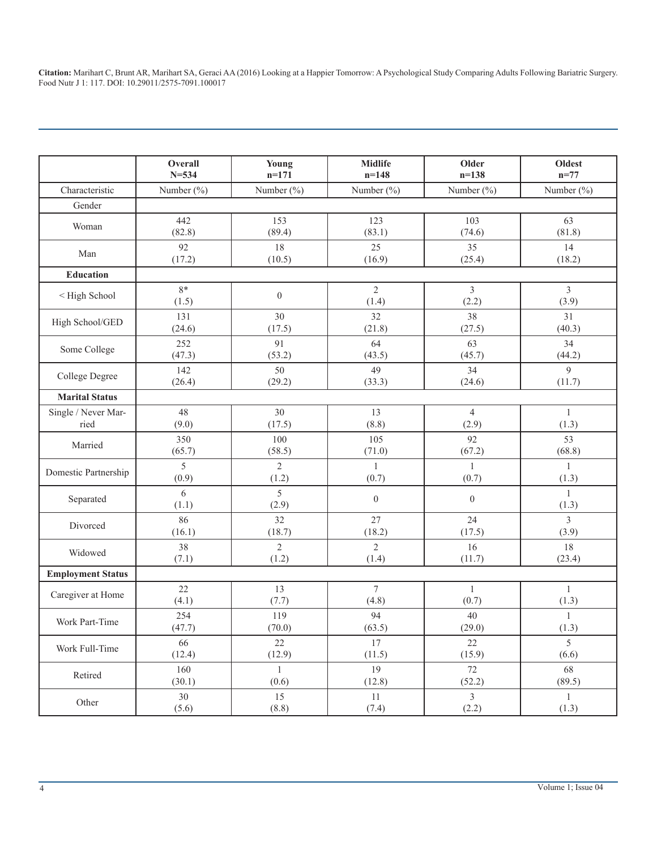|                          | Overall     | Young            | <b>Midlife</b>          | Older                   | Oldest                  |
|--------------------------|-------------|------------------|-------------------------|-------------------------|-------------------------|
|                          | $N = 534$   | $n=171$          | $n=148$                 | $n=138$                 | $n=77$                  |
| Characteristic           | Number (%)  | Number (%)       | Number $(\% )$          | Number $(\% )$          | Number $(\% )$          |
| Gender                   |             |                  |                         |                         |                         |
| Woman                    | 442         | 153              | 123                     | 103                     | 63                      |
|                          | (82.8)      | (89.4)           | (83.1)                  | (74.6)                  | (81.8)                  |
| Man                      | 92          | 18               | 25                      | 35                      | 14                      |
|                          | (17.2)      | (10.5)           | (16.9)                  | (25.4)                  | (18.2)                  |
| <b>Education</b>         |             |                  |                         |                         |                         |
| < High School            | 8*<br>(1.5) | $\boldsymbol{0}$ | $\overline{2}$<br>(1.4) | $\overline{3}$<br>(2.2) | $\mathfrak{Z}$<br>(3.9) |
| High School/GED          | 131         | 30               | 32                      | 38                      | 31                      |
|                          | (24.6)      | (17.5)           | (21.8)                  | (27.5)                  | (40.3)                  |
| Some College             | 252         | 91               | 64                      | 63                      | 34                      |
|                          | (47.3)      | (53.2)           | (43.5)                  | (45.7)                  | (44.2)                  |
| College Degree           | 142         | 50               | 49                      | 34                      | 9                       |
|                          | (26.4)      | (29.2)           | (33.3)                  | (24.6)                  | (11.7)                  |
| <b>Marital Status</b>    |             |                  |                         |                         |                         |
| Single / Never Mar-      | 48          | 30               | 13                      | $\overline{4}$          | $\mathbf{1}$            |
| ried                     | (9.0)       | (17.5)           | (8.8)                   | (2.9)                   | (1.3)                   |
| Married                  | 350         | 100              | 105                     | 92                      | 53                      |
|                          | (65.7)      | (58.5)           | (71.0)                  | (67.2)                  | (68.8)                  |
| Domestic Partnership     | 5           | $\overline{2}$   | $\mathbf{1}$            | 1                       | $\mathbf{1}$            |
|                          | (0.9)       | (1.2)            | (0.7)                   | (0.7)                   | (1.3)                   |
| Separated                | 6<br>(1.1)  | 5<br>(2.9)       | $\mathbf{0}$            | $\overline{0}$          | $\mathbf{1}$<br>(1.3)   |
| Divorced                 | 86          | 32               | 27                      | 24                      | $\mathfrak{Z}$          |
|                          | (16.1)      | (18.7)           | (18.2)                  | (17.5)                  | (3.9)                   |
| Widowed                  | 38          | $\overline{2}$   | $\overline{2}$          | 16                      | 18                      |
|                          | (7.1)       | (1.2)            | (1.4)                   | (11.7)                  | (23.4)                  |
| <b>Employment Status</b> |             |                  |                         |                         |                         |
| Caregiver at Home        | 22          | 13               | $\tau$                  | 1                       | $\mathbf{1}$            |
|                          | (4.1)       | (7.7)            | (4.8)                   | (0.7)                   | (1.3)                   |
| Work Part-Time           | 254         | 119              | 94                      | 40                      | $\mathbf{1}$            |
|                          | (47.7)      | (70.0)           | (63.5)                  | (29.0)                  | (1.3)                   |
| Work Full-Time           | 66          | $22\,$           | 17                      | 22                      | 5                       |
|                          | (12.4)      | (12.9)           | (11.5)                  | (15.9)                  | (6.6)                   |
| Retired                  | 160         | $\mathbf{1}$     | 19                      | 72                      | 68                      |
|                          | (30.1)      | (0.6)            | (12.8)                  | (52.2)                  | (89.5)                  |
| Other                    | 30          | 15               | 11                      | $\overline{3}$          | $\mathbf{1}$            |
|                          | (5.6)       | (8.8)            | (7.4)                   | (2.2)                   | (1.3)                   |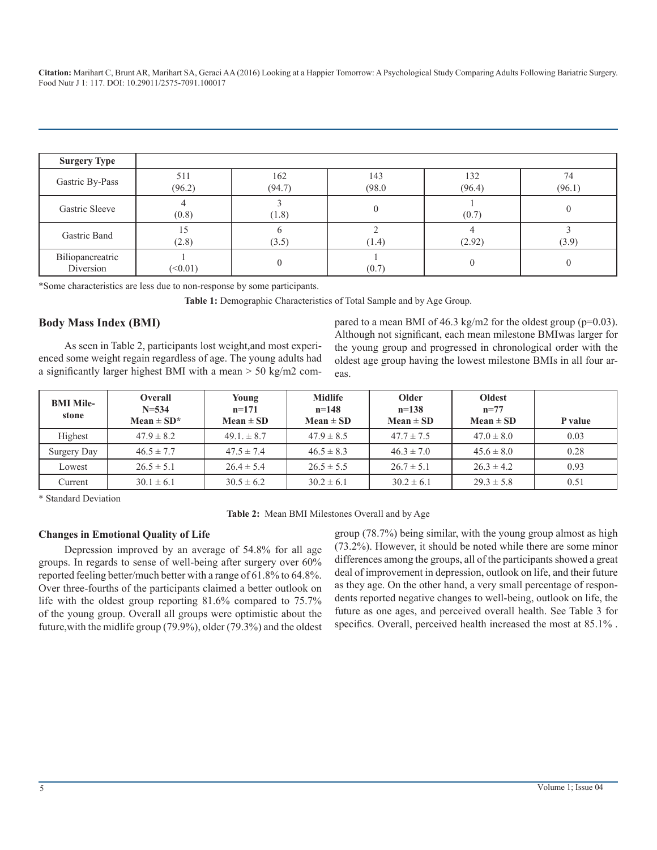| <b>Surgery Type</b>           |               |               |               |               |              |
|-------------------------------|---------------|---------------|---------------|---------------|--------------|
| Gastric By-Pass               | 511<br>(96.2) | 162<br>(94.7) | 143<br>(98.0) | 132<br>(96.4) | 74<br>(96.1) |
| Gastric Sleeve                | (0.8)         | (1.8)         |               | (0.7)         |              |
| Gastric Band                  | (2.8)         | (3.5)         | (1.4)         | (2.92)        | (3.9)        |
| Biliopancreatric<br>Diversion | (<0.01)       |               | (0.7)         |               |              |

\*Some characteristics are less due to non-response by some participants.

Table 1: Demographic Characteristics of Total Sample and by Age Group.

#### **Body Mass Index (BMI)**

As seen in Table 2, participants lost weight,and most experienced some weight regain regardless of age. The young adults had a significantly larger highest BMI with a mean > 50 kg/m2 com-

pared to a mean BMI of 46.3 kg/m2 for the oldest group (p=0.03). Although not significant, each mean milestone BMIwas larger for the young group and progressed in chronological order with the oldest age group having the lowest milestone BMIs in all four areas.

| <b>BMI Mile-</b><br>stone | <b>Overall</b><br>$N = 534$<br>Mean $\pm$ SD <sup>*</sup> | Young<br>$n=171$<br>$Mean \pm SD$ | <b>Midlife</b><br>$n = 148$<br>Mean $\pm$ SD | <b>Older</b><br>$n=138$<br>$Mean \pm SD$ | <b>Oldest</b><br>$n = 77$<br>Mean $\pm$ SD | P value |
|---------------------------|-----------------------------------------------------------|-----------------------------------|----------------------------------------------|------------------------------------------|--------------------------------------------|---------|
| Highest                   | $47.9 \pm 8.2$                                            | $49.1 \pm 8.7$                    | $47.9 \pm 8.5$                               | $47.7 \pm 7.5$                           | $47.0 \pm 8.0$                             | 0.03    |
| Surgery Day               | $46.5 \pm 7.7$                                            | $47.5 \pm 7.4$                    | $46.5 \pm 8.3$                               | $46.3 \pm 7.0$                           | $45.6 \pm 8.0$                             | 0.28    |
| Lowest                    | $26.5 \pm 5.1$                                            | $26.4 \pm 5.4$                    | $26.5 \pm 5.5$                               | $26.7 \pm 5.1$                           | $26.3 \pm 4.2$                             | 0.93    |
| Current                   | $30.1 \pm 6.1$                                            | $30.5 \pm 6.2$                    | $30.2 \pm 6.1$                               | $30.2 \pm 6.1$                           | $29.3 \pm 5.8$                             | 0.51    |

\* Standard Deviation

**Table 2:** Mean BMI Milestones Overall and by Age

#### **Changes in Emotional Quality of Life**

Depression improved by an average of 54.8% for all age groups. In regards to sense of well-being after surgery over 60% reported feeling better/much better with a range of 61.8% to 64.8%. Over three-fourths of the participants claimed a better outlook on life with the oldest group reporting 81.6% compared to 75.7% of the young group. Overall all groups were optimistic about the future,with the midlife group (79.9%), older (79.3%) and the oldest

group (78.7%) being similar, with the young group almost as high (73.2%). However, it should be noted while there are some minor differences among the groups, all of the participants showed a great deal of improvement in depression, outlook on life, and their future as they age. On the other hand, a very small percentage of respondents reported negative changes to well-being, outlook on life, the future as one ages, and perceived overall health. See Table 3 for specifics. Overall, perceived health increased the most at 85.1% .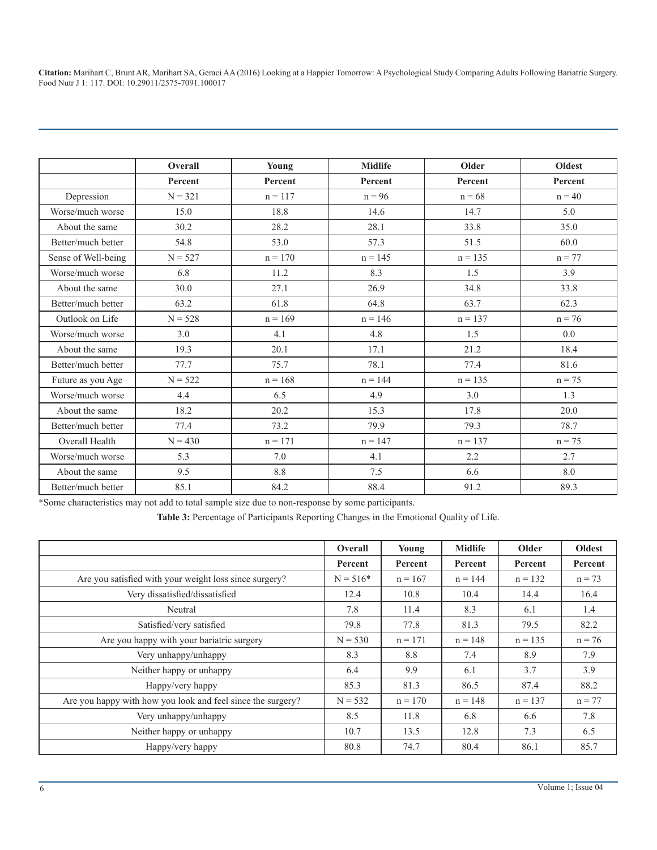|                     | Overall   | Young     | <b>Midlife</b> | Older     | <b>Oldest</b> |
|---------------------|-----------|-----------|----------------|-----------|---------------|
|                     | Percent   | Percent   | Percent        | Percent   | Percent       |
| Depression          | $N = 321$ | $n = 117$ | $n = 96$       | $n = 68$  | $n = 40$      |
| Worse/much worse    | 15.0      | 18.8      | 14.6           | 14.7      | 5.0           |
| About the same      | 30.2      | 28.2      | 28.1           | 33.8      | 35.0          |
| Better/much better  | 54.8      | 53.0      | 57.3           | 51.5      | 60.0          |
| Sense of Well-being | $N = 527$ | $n = 170$ | $n = 145$      | $n = 135$ | $n = 77$      |
| Worse/much worse    | 6.8       | 11.2      | 8.3            | 1.5       | 3.9           |
| About the same      | 30.0      | 27.1      | 26.9           | 34.8      | 33.8          |
| Better/much better  | 63.2      | 61.8      | 64.8           | 63.7      | 62.3          |
| Outlook on Life     | $N = 528$ | $n = 169$ | $n = 146$      | $n = 137$ | $n = 76$      |
| Worse/much worse    | 3.0       | 4.1       | 4.8            | 1.5       | 0.0           |
| About the same      | 19.3      | 20.1      | 17.1           | 21.2      | 18.4          |
| Better/much better  | 77.7      | 75.7      | 78.1           | 77.4      | 81.6          |
| Future as you Age   | $N = 522$ | $n = 168$ | $n = 144$      | $n = 135$ | $n = 75$      |
| Worse/much worse    | 4.4       | 6.5       | 4.9            | 3.0       | 1.3           |
| About the same      | 18.2      | 20.2      | 15.3           | 17.8      | 20.0          |
| Better/much better  | 77.4      | 73.2      | 79.9           | 79.3      | 78.7          |
| Overall Health      | $N = 430$ | $n = 171$ | $n = 147$      | $n = 137$ | $n = 75$      |
| Worse/much worse    | 5.3       | 7.0       | 4.1            | 2.2       | 2.7           |
| About the same      | 9.5       | 8.8       | 7.5            | 6.6       | $8.0\,$       |
| Better/much better  | 85.1      | 84.2      | 88.4           | 91.2      | 89.3          |

\*Some characteristics may not add to total sample size due to non-response by some participants.

**Table 3:** Percentage of Participants Reporting Changes in the Emotional Quality of Life.

|                                                             | <b>Overall</b> | Young     | <b>Midlife</b> | Older     | Oldest   |
|-------------------------------------------------------------|----------------|-----------|----------------|-----------|----------|
|                                                             | Percent        | Percent   | Percent        | Percent   | Percent  |
| Are you satisfied with your weight loss since surgery?      | $N = 516*$     | $n = 167$ | $n = 144$      | $n = 132$ | $n = 73$ |
| Very dissatisfied/dissatisfied                              | 12.4           | 10.8      | 10.4           | 14.4      | 16.4     |
| Neutral                                                     | 7.8            | 11.4      | 8.3            | 6.1       | 1.4      |
| Satisfied/very satisfied                                    | 79.8           | 77.8      | 81.3           | 79.5      | 82.2     |
| Are you happy with your bariatric surgery                   | $N = 530$      | $n = 171$ | $n = 148$      | $n = 135$ | $n = 76$ |
| Very unhappy/unhappy                                        | 8.3            | 8.8       | 7.4            | 8.9       | 7.9      |
| Neither happy or unhappy                                    | 6.4            | 9.9       | 6.1            | 3.7       | 3.9      |
| Happy/very happy                                            | 85.3           | 81.3      | 86.5           | 87.4      | 88.2     |
| Are you happy with how you look and feel since the surgery? | $N = 532$      | $n = 170$ | $n = 148$      | $n = 137$ | $n = 77$ |
| Very unhappy/unhappy                                        | 8.5            | 11.8      | 6.8            | 6.6       | 7.8      |
| Neither happy or unhappy                                    | 10.7           | 13.5      | 12.8           | 7.3       | 6.5      |
| Happy/very happy                                            | 80.8           | 74.7      | 80.4           | 86.1      | 85.7     |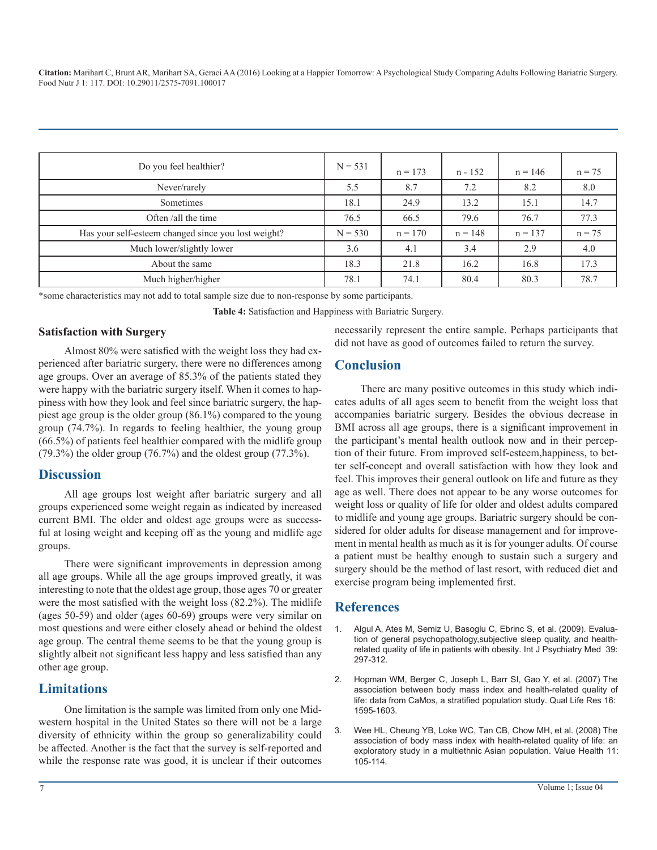| Do you feel healthier?                              | $N = 531$ | $n = 173$ | n - 152   | $n = 146$ | $n = 75$ |
|-----------------------------------------------------|-----------|-----------|-----------|-----------|----------|
| Never/rarely                                        | 5.5       | 8.7       | 7.2       | 8.2       | 8.0      |
| Sometimes                                           | 18.1      | 24.9      | 13.2      | 15.1      | 14.7     |
| Often /all the time                                 | 76.5      | 66.5      | 79.6      | 76.7      | 77.3     |
| Has your self-esteem changed since you lost weight? | $N = 530$ | $n = 170$ | $n = 148$ | $n = 137$ | $n = 75$ |
| Much lower/slightly lower                           | 3.6       | 4.1       | 3.4       | 2.9       | 4.0      |
| About the same                                      | 18.3      | 21.8      | 16.2      | 16.8      | 17.3     |
| Much higher/higher                                  | 78.1      | 74.1      | 80.4      | 80.3      | 78.7     |

\*some characteristics may not add to total sample size due to non-response by some participants.

**Table 4:** Satisfaction and Happiness with Bariatric Surgery.

#### **Satisfaction with Surgery**

Almost 80% were satisfied with the weight loss they had experienced after bariatric surgery, there were no differences among age groups. Over an average of 85.3% of the patients stated they were happy with the bariatric surgery itself. When it comes to happiness with how they look and feel since bariatric surgery, the happiest age group is the older group (86.1%) compared to the young group (74.7%). In regards to feeling healthier, the young group (66.5%) of patients feel healthier compared with the midlife group (79.3%) the older group (76.7%) and the oldest group (77.3%).

## **Discussion**

All age groups lost weight after bariatric surgery and all groups experienced some weight regain as indicated by increased current BMI. The older and oldest age groups were as successful at losing weight and keeping off as the young and midlife age groups.

There were significant improvements in depression among all age groups. While all the age groups improved greatly, it was interesting to note that the oldest age group, those ages 70 or greater were the most satisfied with the weight loss (82.2%). The midlife (ages 50-59) and older (ages 60-69) groups were very similar on most questions and were either closely ahead or behind the oldest [age group. The central theme seems to be that the young group is](https://www.ncbi.nlm.nih.gov/pubmed/19967901)  slightly albeit not significant less happy and less satisfied than any other age group.

## **Limitations**

One limitation is the sample was limited from only one Midwestern hospital in the United States so there will not be a large diversity of ethnicity within the group so generalizability could be affected. Another is the fact that the survey is self-reported and while the response rate was good, it is unclear if their outcomes necessarily represent the entire sample. Perhaps participants that did not have as good of outcomes failed to return the survey.

## **Conclusion**

There are many positive outcomes in this study which indicates adults of all ages seem to benefit from the weight loss that accompanies bariatric surgery. Besides the obvious decrease in BMI across all age groups, there is a significant improvement in the participant's mental health outlook now and in their perception of their future. From improved self-esteem,happiness, to better self-concept and overall satisfaction with how they look and feel. This improves their general outlook on life and future as they age as well. There does not appear to be any worse outcomes for weight loss or quality of life for older and oldest adults compared to midlife and young age groups. Bariatric surgery should be considered for older adults for disease management and for improvement in mental health as much as it is for younger adults. Of course a patient must be healthy enough to sustain such a surgery and surgery should be the method of last resort, with reduced diet and exercise program being implemented first.

## **References**

- 1. [Algul A, Ates M, Semiz U, Basoglu C, Ebrinc S, et al. \(2009\). Evalua](https://www.ncbi.nlm.nih.gov/pubmed/19967901)tion of general psychopathology,subjective sleep quality, and health[related quality of life in patients with obesity. Int J Psychiatry Med 39:](https://www.ncbi.nlm.nih.gov/pubmed/19967901)  [297-312.](https://www.ncbi.nlm.nih.gov/pubmed/19967901)
- 2. [Hopman WM, Berger C, Joseph L, Barr SI, Gao Y, et al. \(2007\) The](https://www.ncbi.nlm.nih.gov/pubmed/17957495)  [association between body mass index and health-related quality of](https://www.ncbi.nlm.nih.gov/pubmed/17957495)  [life: data from CaMos, a stratified population study. Qual Life Res 16:](https://www.ncbi.nlm.nih.gov/pubmed/17957495)  [1595-1603.](https://www.ncbi.nlm.nih.gov/pubmed/17957495)
- 3. [Wee HL, Cheung YB, Loke WC, Tan CB, Chow MH, et al. \(2008\) The](https://www.ncbi.nlm.nih.gov/pubmed/18387053) [association of body mass index with health-related quality of life: an](https://www.ncbi.nlm.nih.gov/pubmed/18387053)  [exploratory study in a multiethnic Asian population. Value Health 11:](https://www.ncbi.nlm.nih.gov/pubmed/18387053) [105-114.](https://www.ncbi.nlm.nih.gov/pubmed/18387053)